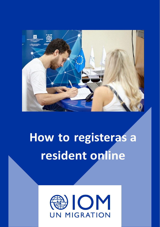

## **How to registeras a resident online**

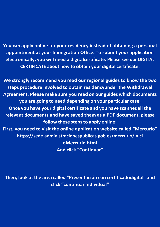**You can apply online for your residency instead of obtaining a personal appointment at your Immigration Office. To submit your application electronically, you will need a digitalcertificate. Please see our DIGITAL CERTIFICATE about how to obtain your digital certificate.**

**We strongly recommend you read our regional guides to know the two steps procedure involved to obtain residencyunder the Withdrawal Agreement. Please make sure you read on our guides which documents you are going to need depending on your particular case. Once you have your digital certificate and you have scannedall the relevant documents and have saved them as a PDF document, please follow these stepsto apply online: First, you need to visit the online application website called "Mercurio" https://sede.administracionespublicas.gob.es/mercurio/inici oMercurio.html And click "Continuar"**

**Then, look at the area called "Presentación con certificadodigital" and click "continuar individual"**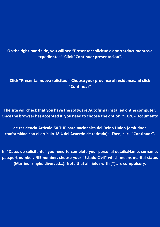**On the right-hand side, you willsee "Presentarsolicitud o aportardocumentos a expedientes". Click "Continuar presentacion".**

**Click "Presentar nueva solicitud". Choose your province ofresidenceand click "Continuar"**

**The site will check that you have the software Autofirma installed onthe computer. Once the browser has accepted it, you need to choose the option "EX20 - Documento**

**de residencia Artículo 50 TUE para nacionales del Reino Unido (emitidode conformidad con el artículo 18.4 del Acuerdo de retirada)". Then, click "Continuar".**

**In "Datos de solicitante" you need to complete your personal details:Name, surname, passport number, NIE number, choose your "Estado Civil" which means marital status (Married, single, divorced…). Note that all fields with (\*) are compulsory.**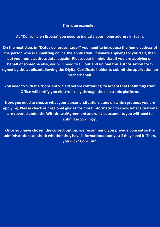**This is an example :**

**At "Domicilio en España" you need to indicate your home address in Spain.**

**On the next step, in "Datos del presentador" you need to introduce the home address of the person who is submitting online the application. If youare applying for yourself,then put your home address details again. Pleasebear in mind that if you are applying on behalf of someone else, you will need to fill out and upload this authorisation form signed by the applicantallowing the Digital Certificate holder to submit the application on his/herbehalf.**

**You need to click the "Consiento" field before continuing,to acceptthattheImmigration Office will notify you electronically through the electronic platform.**

**Now, you need to choose what your personalsituation is and on which grounds you are applying. Please check our regional guides for more information to know whatsituations are covered underthe WithdrawalAgreement and which documents you will need to submit accordingly.**

**Once you have chosen the correct option, we recommend you provide consentso the administration can check whetherthey have informationabout you if they need it. Then, you click" Concluir".**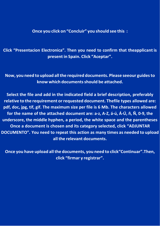## **Once you click on "Concluir" you should see this :**

**Click "Presentacion Electronica". Then you need to confirm that theapplicant is present in Spain. Click "Aceptar".**

**Now, you need to upload allthe required documents. Please seeour guidesto know which documentsshould be attached.**

**Select the file and add in the indicated field a brief description, preferably relative to the requirement orrequested document. Thefile types allowed are: pdf, doc, jpg, tif, gif. The maximum size per file is 6 Mb. The characters allowed for the name of the attached document are: a-z, A-Z, á-ú, Á-Ú, ñ, Ñ, 0-9, the underscore, the middle hyphen, a period, the white space and the parentheses Once a document is chosen and its category selected, click "ADJUNTAR DOCUMENTO". You need to repeat this action as many times as needed to upload all the relevant documents.**

**Once you have upload allthe documents, you need to click"Continuar".Then, click "firmar y registrar".**